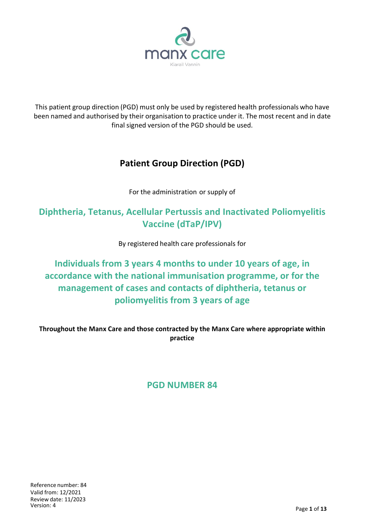

This patient group direction (PGD) must only be used by registered health professionals who have been named and authorised by their organisation to practice under it. The most recent and in date final signed version of the PGD should be used.

# **Patient Group Direction (PGD)**

For the administration or supply of

# **Diphtheria, Tetanus, Acellular Pertussis and Inactivated Poliomyelitis Vaccine (dTaP/IPV)**

By registered health care professionals for

# **Individuals from 3 years 4 months to under 10 years of age, in accordance with the national immunisation programme, or for the management of cases and contacts of diphtheria, tetanus or poliomyelitis from 3 years of age**

**Throughout the Manx Care and those contracted by the Manx Care where appropriate within practice**

# **PGD NUMBER 84**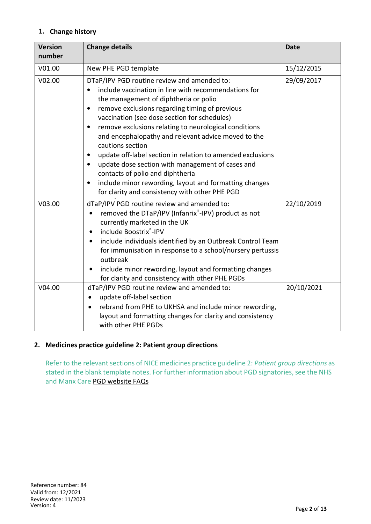### **1. Change history**

| <b>Version</b><br>number | <b>Change details</b>                                                                                                                                                                                                                                                                                                                                                                                                                                                                                                                                                                                                                                                                                              | <b>Date</b> |
|--------------------------|--------------------------------------------------------------------------------------------------------------------------------------------------------------------------------------------------------------------------------------------------------------------------------------------------------------------------------------------------------------------------------------------------------------------------------------------------------------------------------------------------------------------------------------------------------------------------------------------------------------------------------------------------------------------------------------------------------------------|-------------|
| V01.00                   | New PHE PGD template                                                                                                                                                                                                                                                                                                                                                                                                                                                                                                                                                                                                                                                                                               | 15/12/2015  |
| V02.00                   | DTaP/IPV PGD routine review and amended to:<br>include vaccination in line with recommendations for<br>$\bullet$<br>the management of diphtheria or polio<br>remove exclusions regarding timing of previous<br>$\bullet$<br>vaccination (see dose section for schedules)<br>remove exclusions relating to neurological conditions<br>٠<br>and encephalopathy and relevant advice moved to the<br>cautions section<br>update off-label section in relation to amended exclusions<br>$\bullet$<br>update dose section with management of cases and<br>$\bullet$<br>contacts of polio and diphtheria<br>include minor rewording, layout and formatting changes<br>٠<br>for clarity and consistency with other PHE PGD | 29/09/2017  |
| V03.00                   | dTaP/IPV PGD routine review and amended to:<br>removed the DTaP/IPV (Infanrix®-IPV) product as not<br>$\bullet$<br>currently marketed in the UK<br>include Boostrix®-IPV<br>$\bullet$<br>include individuals identified by an Outbreak Control Team<br>$\bullet$<br>for immunisation in response to a school/nursery pertussis<br>outbreak<br>include minor rewording, layout and formatting changes<br>for clarity and consistency with other PHE PGDs                                                                                                                                                                                                                                                            | 22/10/2019  |
| V04.00                   | dTaP/IPV PGD routine review and amended to:<br>update off-label section<br>$\bullet$<br>rebrand from PHE to UKHSA and include minor rewording,<br>$\bullet$<br>layout and formatting changes for clarity and consistency<br>with other PHE PGDs                                                                                                                                                                                                                                                                                                                                                                                                                                                                    | 20/10/2021  |

#### **2. Medicines practice guideline 2: Patient group directions**

Refer to the relevant sections of NICE medicines practice guideline 2: *Patient group directions* as stated in the blank template notes. For further information about PGD signatories, see the NHS and Manx Care PGD website FAQs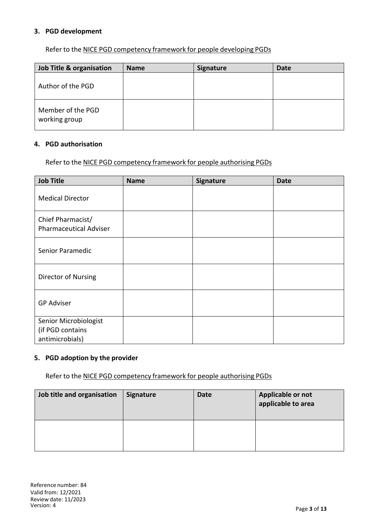#### **3. PGD development**

Refer to the NICE PGD competency framework for people developing PGDs

| Job Title & organisation           | <b>Name</b> | <b>Signature</b> | Date |
|------------------------------------|-------------|------------------|------|
| Author of the PGD                  |             |                  |      |
| Member of the PGD<br>working group |             |                  |      |

#### **4. PGD authorisation**

Refer to the NICE PGD competency framework for people authorising PGDs

| <b>Job Title</b>                                             | <b>Name</b> | Signature | <b>Date</b> |
|--------------------------------------------------------------|-------------|-----------|-------------|
| <b>Medical Director</b>                                      |             |           |             |
| Chief Pharmacist/<br><b>Pharmaceutical Adviser</b>           |             |           |             |
| Senior Paramedic                                             |             |           |             |
| Director of Nursing                                          |             |           |             |
| <b>GP Adviser</b>                                            |             |           |             |
| Senior Microbiologist<br>(if PGD contains<br>antimicrobials) |             |           |             |

#### **5. PGD adoption by the provider**

Refer to the NICE PGD competency framework for people authorising PGDs

| Job title and organisation | <b>Signature</b> | <b>Date</b> | Applicable or not<br>applicable to area |
|----------------------------|------------------|-------------|-----------------------------------------|
|                            |                  |             |                                         |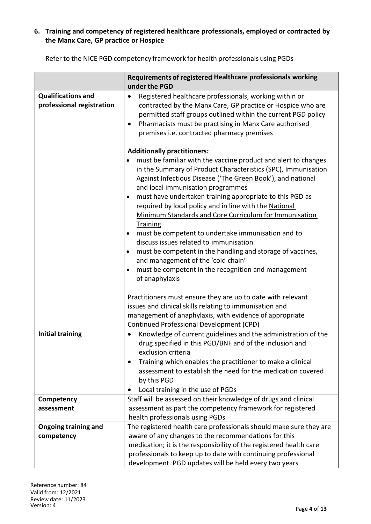### **6. Training and competency of registered healthcare professionals, employed or contracted by the Manx Care, GP practice or Hospice**

|                                                        | Requirements of registered Healthcare professionals working<br>under the PGD                                                                                                                                                                                                                                                                                                                                                                                                                                                                                                                                                                                                                                                                                                                                                             |
|--------------------------------------------------------|------------------------------------------------------------------------------------------------------------------------------------------------------------------------------------------------------------------------------------------------------------------------------------------------------------------------------------------------------------------------------------------------------------------------------------------------------------------------------------------------------------------------------------------------------------------------------------------------------------------------------------------------------------------------------------------------------------------------------------------------------------------------------------------------------------------------------------------|
| <b>Qualifications and</b><br>professional registration | Registered healthcare professionals, working within or<br>$\bullet$<br>contracted by the Manx Care, GP practice or Hospice who are<br>permitted staff groups outlined within the current PGD policy<br>Pharmacists must be practising in Manx Care authorised<br>$\bullet$<br>premises i.e. contracted pharmacy premises                                                                                                                                                                                                                                                                                                                                                                                                                                                                                                                 |
|                                                        | <b>Additionally practitioners:</b><br>must be familiar with the vaccine product and alert to changes<br>in the Summary of Product Characteristics (SPC), Immunisation<br>Against Infectious Disease ('The Green Book'), and national<br>and local immunisation programmes<br>must have undertaken training appropriate to this PGD as<br>٠<br>required by local policy and in line with the National<br>Minimum Standards and Core Curriculum for Immunisation<br>Training<br>must be competent to undertake immunisation and to<br>٠<br>discuss issues related to immunisation<br>must be competent in the handling and storage of vaccines,<br>and management of the 'cold chain'<br>must be competent in the recognition and management<br>$\bullet$<br>of anaphylaxis<br>Practitioners must ensure they are up to date with relevant |
|                                                        | issues and clinical skills relating to immunisation and                                                                                                                                                                                                                                                                                                                                                                                                                                                                                                                                                                                                                                                                                                                                                                                  |

Refer to the NICE PGD competency framework for health professionals using PGDs

|                         | issues and clinical skills relating to immunisation and                                                                                                                                                                                                                                    |  |  |
|-------------------------|--------------------------------------------------------------------------------------------------------------------------------------------------------------------------------------------------------------------------------------------------------------------------------------------|--|--|
|                         | management of anaphylaxis, with evidence of appropriate                                                                                                                                                                                                                                    |  |  |
|                         | Continued Professional Development (CPD)                                                                                                                                                                                                                                                   |  |  |
| <b>Initial training</b> | Knowledge of current guidelines and the administration of the<br>drug specified in this PGD/BNF and of the inclusion and<br>exclusion criteria<br>Training which enables the practitioner to make a clinical<br>assessment to establish the need for the medication covered<br>by this PGD |  |  |
|                         | Local training in the use of PGDs                                                                                                                                                                                                                                                          |  |  |
| Competency              | Staff will be assessed on their knowledge of drugs and clinical                                                                                                                                                                                                                            |  |  |
| assessment              | assessment as part the competency framework for registered                                                                                                                                                                                                                                 |  |  |
|                         | health professionals using PGDs                                                                                                                                                                                                                                                            |  |  |
| Ongoing training and    | The registered health care professionals should make sure they are                                                                                                                                                                                                                         |  |  |
| competency              | aware of any changes to the recommendations for this                                                                                                                                                                                                                                       |  |  |
|                         | medication; it is the responsibility of the registered health care                                                                                                                                                                                                                         |  |  |
|                         | professionals to keep up to date with continuing professional                                                                                                                                                                                                                              |  |  |
|                         | development. PGD updates will be held every two years                                                                                                                                                                                                                                      |  |  |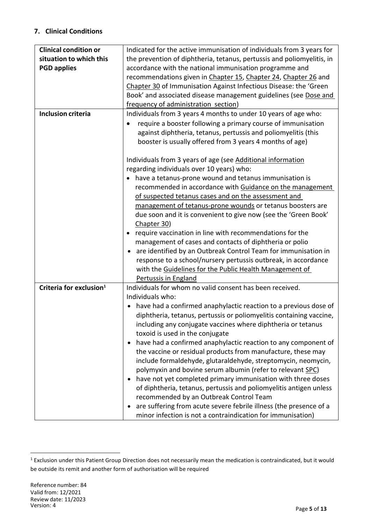### **7. Clinical Conditions**

| <b>Clinical condition or</b>        | Indicated for the active immunisation of individuals from 3 years for  |  |  |
|-------------------------------------|------------------------------------------------------------------------|--|--|
| situation to which this             | the prevention of diphtheria, tetanus, pertussis and poliomyelitis, in |  |  |
| <b>PGD applies</b>                  | accordance with the national immunisation programme and                |  |  |
|                                     | recommendations given in Chapter 15, Chapter 24, Chapter 26 and        |  |  |
|                                     | Chapter 30 of Immunisation Against Infectious Disease: the 'Green      |  |  |
|                                     | Book' and associated disease management guidelines (see Dose and       |  |  |
|                                     | frequency of administration section)                                   |  |  |
| <b>Inclusion criteria</b>           | Individuals from 3 years 4 months to under 10 years of age who:        |  |  |
|                                     | require a booster following a primary course of immunisation           |  |  |
|                                     | against diphtheria, tetanus, pertussis and poliomyelitis (this         |  |  |
|                                     | booster is usually offered from 3 years 4 months of age)               |  |  |
|                                     |                                                                        |  |  |
|                                     | Individuals from 3 years of age (see Additional information            |  |  |
|                                     | regarding individuals over 10 years) who:                              |  |  |
|                                     | have a tetanus-prone wound and tetanus immunisation is                 |  |  |
|                                     | recommended in accordance with Guidance on the management              |  |  |
|                                     | of suspected tetanus cases and on the assessment and                   |  |  |
|                                     | management of tetanus-prone wounds or tetanus boosters are             |  |  |
|                                     | due soon and it is convenient to give now (see the 'Green Book'        |  |  |
|                                     | Chapter 30)                                                            |  |  |
|                                     | require vaccination in line with recommendations for the               |  |  |
|                                     | management of cases and contacts of diphtheria or polio                |  |  |
|                                     | are identified by an Outbreak Control Team for immunisation in         |  |  |
|                                     | response to a school/nursery pertussis outbreak, in accordance         |  |  |
|                                     | with the Guidelines for the Public Health Management of                |  |  |
|                                     | Pertussis in England                                                   |  |  |
| Criteria for exclusion <sup>1</sup> | Individuals for whom no valid consent has been received.               |  |  |
|                                     | Individuals who:                                                       |  |  |
|                                     | have had a confirmed anaphylactic reaction to a previous dose of       |  |  |
|                                     |                                                                        |  |  |
|                                     | diphtheria, tetanus, pertussis or poliomyelitis containing vaccine,    |  |  |
|                                     | including any conjugate vaccines where diphtheria or tetanus           |  |  |
|                                     | toxoid is used in the conjugate                                        |  |  |
|                                     | have had a confirmed anaphylactic reaction to any component of         |  |  |
|                                     | the vaccine or residual products from manufacture, these may           |  |  |
|                                     | include formaldehyde, glutaraldehyde, streptomycin, neomycin,          |  |  |
|                                     | polymyxin and bovine serum albumin (refer to relevant SPC)             |  |  |
|                                     | have not yet completed primary immunisation with three doses           |  |  |
|                                     | of diphtheria, tetanus, pertussis and poliomyelitis antigen unless     |  |  |
|                                     | recommended by an Outbreak Control Team                                |  |  |
|                                     | are suffering from acute severe febrile illness (the presence of a     |  |  |
|                                     | minor infection is not a contraindication for immunisation)            |  |  |

 $\overline{a}$ 

<sup>1</sup> Exclusion under this Patient Group Direction does not necessarily mean the medication is contraindicated, but it would be outside its remit and another form of authorisation will be required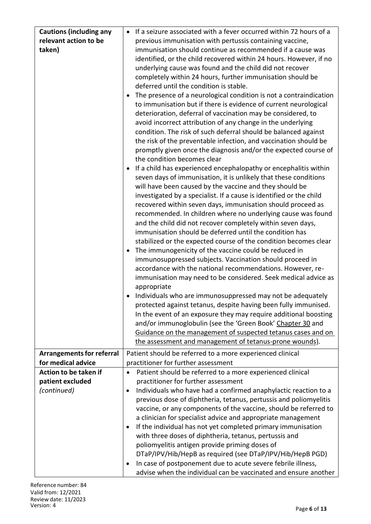| relevant action to be<br>previous immunisation with pertussis containing vaccine,<br>taken)<br>immunisation should continue as recommended if a cause was<br>identified, or the child recovered within 24 hours. However, if no<br>underlying cause was found and the child did not recover<br>completely within 24 hours, further immunisation should be<br>deferred until the condition is stable.<br>The presence of a neurological condition is not a contraindication<br>to immunisation but if there is evidence of current neurological<br>deterioration, deferral of vaccination may be considered, to<br>avoid incorrect attribution of any change in the underlying<br>condition. The risk of such deferral should be balanced against<br>the risk of the preventable infection, and vaccination should be<br>promptly given once the diagnosis and/or the expected course of<br>the condition becomes clear<br>If a child has experienced encephalopathy or encephalitis within<br>seven days of immunisation, it is unlikely that these conditions<br>will have been caused by the vaccine and they should be<br>investigated by a specialist. If a cause is identified or the child<br>recovered within seven days, immunisation should proceed as<br>recommended. In children where no underlying cause was found<br>and the child did not recover completely within seven days,<br>immunisation should be deferred until the condition has |
|-----------------------------------------------------------------------------------------------------------------------------------------------------------------------------------------------------------------------------------------------------------------------------------------------------------------------------------------------------------------------------------------------------------------------------------------------------------------------------------------------------------------------------------------------------------------------------------------------------------------------------------------------------------------------------------------------------------------------------------------------------------------------------------------------------------------------------------------------------------------------------------------------------------------------------------------------------------------------------------------------------------------------------------------------------------------------------------------------------------------------------------------------------------------------------------------------------------------------------------------------------------------------------------------------------------------------------------------------------------------------------------------------------------------------------------------------------------|
|                                                                                                                                                                                                                                                                                                                                                                                                                                                                                                                                                                                                                                                                                                                                                                                                                                                                                                                                                                                                                                                                                                                                                                                                                                                                                                                                                                                                                                                           |
|                                                                                                                                                                                                                                                                                                                                                                                                                                                                                                                                                                                                                                                                                                                                                                                                                                                                                                                                                                                                                                                                                                                                                                                                                                                                                                                                                                                                                                                           |
|                                                                                                                                                                                                                                                                                                                                                                                                                                                                                                                                                                                                                                                                                                                                                                                                                                                                                                                                                                                                                                                                                                                                                                                                                                                                                                                                                                                                                                                           |
|                                                                                                                                                                                                                                                                                                                                                                                                                                                                                                                                                                                                                                                                                                                                                                                                                                                                                                                                                                                                                                                                                                                                                                                                                                                                                                                                                                                                                                                           |
|                                                                                                                                                                                                                                                                                                                                                                                                                                                                                                                                                                                                                                                                                                                                                                                                                                                                                                                                                                                                                                                                                                                                                                                                                                                                                                                                                                                                                                                           |
|                                                                                                                                                                                                                                                                                                                                                                                                                                                                                                                                                                                                                                                                                                                                                                                                                                                                                                                                                                                                                                                                                                                                                                                                                                                                                                                                                                                                                                                           |
|                                                                                                                                                                                                                                                                                                                                                                                                                                                                                                                                                                                                                                                                                                                                                                                                                                                                                                                                                                                                                                                                                                                                                                                                                                                                                                                                                                                                                                                           |
|                                                                                                                                                                                                                                                                                                                                                                                                                                                                                                                                                                                                                                                                                                                                                                                                                                                                                                                                                                                                                                                                                                                                                                                                                                                                                                                                                                                                                                                           |
|                                                                                                                                                                                                                                                                                                                                                                                                                                                                                                                                                                                                                                                                                                                                                                                                                                                                                                                                                                                                                                                                                                                                                                                                                                                                                                                                                                                                                                                           |
|                                                                                                                                                                                                                                                                                                                                                                                                                                                                                                                                                                                                                                                                                                                                                                                                                                                                                                                                                                                                                                                                                                                                                                                                                                                                                                                                                                                                                                                           |
|                                                                                                                                                                                                                                                                                                                                                                                                                                                                                                                                                                                                                                                                                                                                                                                                                                                                                                                                                                                                                                                                                                                                                                                                                                                                                                                                                                                                                                                           |
|                                                                                                                                                                                                                                                                                                                                                                                                                                                                                                                                                                                                                                                                                                                                                                                                                                                                                                                                                                                                                                                                                                                                                                                                                                                                                                                                                                                                                                                           |
|                                                                                                                                                                                                                                                                                                                                                                                                                                                                                                                                                                                                                                                                                                                                                                                                                                                                                                                                                                                                                                                                                                                                                                                                                                                                                                                                                                                                                                                           |
|                                                                                                                                                                                                                                                                                                                                                                                                                                                                                                                                                                                                                                                                                                                                                                                                                                                                                                                                                                                                                                                                                                                                                                                                                                                                                                                                                                                                                                                           |
|                                                                                                                                                                                                                                                                                                                                                                                                                                                                                                                                                                                                                                                                                                                                                                                                                                                                                                                                                                                                                                                                                                                                                                                                                                                                                                                                                                                                                                                           |
|                                                                                                                                                                                                                                                                                                                                                                                                                                                                                                                                                                                                                                                                                                                                                                                                                                                                                                                                                                                                                                                                                                                                                                                                                                                                                                                                                                                                                                                           |
|                                                                                                                                                                                                                                                                                                                                                                                                                                                                                                                                                                                                                                                                                                                                                                                                                                                                                                                                                                                                                                                                                                                                                                                                                                                                                                                                                                                                                                                           |
|                                                                                                                                                                                                                                                                                                                                                                                                                                                                                                                                                                                                                                                                                                                                                                                                                                                                                                                                                                                                                                                                                                                                                                                                                                                                                                                                                                                                                                                           |
|                                                                                                                                                                                                                                                                                                                                                                                                                                                                                                                                                                                                                                                                                                                                                                                                                                                                                                                                                                                                                                                                                                                                                                                                                                                                                                                                                                                                                                                           |
|                                                                                                                                                                                                                                                                                                                                                                                                                                                                                                                                                                                                                                                                                                                                                                                                                                                                                                                                                                                                                                                                                                                                                                                                                                                                                                                                                                                                                                                           |
|                                                                                                                                                                                                                                                                                                                                                                                                                                                                                                                                                                                                                                                                                                                                                                                                                                                                                                                                                                                                                                                                                                                                                                                                                                                                                                                                                                                                                                                           |
| stabilized or the expected course of the condition becomes clear                                                                                                                                                                                                                                                                                                                                                                                                                                                                                                                                                                                                                                                                                                                                                                                                                                                                                                                                                                                                                                                                                                                                                                                                                                                                                                                                                                                          |
| The immunogenicity of the vaccine could be reduced in                                                                                                                                                                                                                                                                                                                                                                                                                                                                                                                                                                                                                                                                                                                                                                                                                                                                                                                                                                                                                                                                                                                                                                                                                                                                                                                                                                                                     |
| immunosuppressed subjects. Vaccination should proceed in                                                                                                                                                                                                                                                                                                                                                                                                                                                                                                                                                                                                                                                                                                                                                                                                                                                                                                                                                                                                                                                                                                                                                                                                                                                                                                                                                                                                  |
| accordance with the national recommendations. However, re-                                                                                                                                                                                                                                                                                                                                                                                                                                                                                                                                                                                                                                                                                                                                                                                                                                                                                                                                                                                                                                                                                                                                                                                                                                                                                                                                                                                                |
| immunisation may need to be considered. Seek medical advice as                                                                                                                                                                                                                                                                                                                                                                                                                                                                                                                                                                                                                                                                                                                                                                                                                                                                                                                                                                                                                                                                                                                                                                                                                                                                                                                                                                                            |
| appropriate                                                                                                                                                                                                                                                                                                                                                                                                                                                                                                                                                                                                                                                                                                                                                                                                                                                                                                                                                                                                                                                                                                                                                                                                                                                                                                                                                                                                                                               |
| Individuals who are immunosuppressed may not be adequately                                                                                                                                                                                                                                                                                                                                                                                                                                                                                                                                                                                                                                                                                                                                                                                                                                                                                                                                                                                                                                                                                                                                                                                                                                                                                                                                                                                                |
| protected against tetanus, despite having been fully immunised.                                                                                                                                                                                                                                                                                                                                                                                                                                                                                                                                                                                                                                                                                                                                                                                                                                                                                                                                                                                                                                                                                                                                                                                                                                                                                                                                                                                           |
| In the event of an exposure they may require additional boosting                                                                                                                                                                                                                                                                                                                                                                                                                                                                                                                                                                                                                                                                                                                                                                                                                                                                                                                                                                                                                                                                                                                                                                                                                                                                                                                                                                                          |
| and/or immunoglobulin (see the 'Green Book' Chapter 30 and                                                                                                                                                                                                                                                                                                                                                                                                                                                                                                                                                                                                                                                                                                                                                                                                                                                                                                                                                                                                                                                                                                                                                                                                                                                                                                                                                                                                |
| Guidance on the management of suspected tetanus cases and on                                                                                                                                                                                                                                                                                                                                                                                                                                                                                                                                                                                                                                                                                                                                                                                                                                                                                                                                                                                                                                                                                                                                                                                                                                                                                                                                                                                              |
| the assessment and management of tetanus-prone wounds).                                                                                                                                                                                                                                                                                                                                                                                                                                                                                                                                                                                                                                                                                                                                                                                                                                                                                                                                                                                                                                                                                                                                                                                                                                                                                                                                                                                                   |
| <b>Arrangements for referral</b><br>Patient should be referred to a more experienced clinical                                                                                                                                                                                                                                                                                                                                                                                                                                                                                                                                                                                                                                                                                                                                                                                                                                                                                                                                                                                                                                                                                                                                                                                                                                                                                                                                                             |
| for medical advice<br>practitioner for further assessment                                                                                                                                                                                                                                                                                                                                                                                                                                                                                                                                                                                                                                                                                                                                                                                                                                                                                                                                                                                                                                                                                                                                                                                                                                                                                                                                                                                                 |
| Action to be taken if<br>Patient should be referred to a more experienced clinical                                                                                                                                                                                                                                                                                                                                                                                                                                                                                                                                                                                                                                                                                                                                                                                                                                                                                                                                                                                                                                                                                                                                                                                                                                                                                                                                                                        |
| patient excluded<br>practitioner for further assessment                                                                                                                                                                                                                                                                                                                                                                                                                                                                                                                                                                                                                                                                                                                                                                                                                                                                                                                                                                                                                                                                                                                                                                                                                                                                                                                                                                                                   |
| Individuals who have had a confirmed anaphylactic reaction to a<br>(continued)<br>$\bullet$                                                                                                                                                                                                                                                                                                                                                                                                                                                                                                                                                                                                                                                                                                                                                                                                                                                                                                                                                                                                                                                                                                                                                                                                                                                                                                                                                               |
| previous dose of diphtheria, tetanus, pertussis and poliomyelitis                                                                                                                                                                                                                                                                                                                                                                                                                                                                                                                                                                                                                                                                                                                                                                                                                                                                                                                                                                                                                                                                                                                                                                                                                                                                                                                                                                                         |
| vaccine, or any components of the vaccine, should be referred to                                                                                                                                                                                                                                                                                                                                                                                                                                                                                                                                                                                                                                                                                                                                                                                                                                                                                                                                                                                                                                                                                                                                                                                                                                                                                                                                                                                          |
| a clinician for specialist advice and appropriate management                                                                                                                                                                                                                                                                                                                                                                                                                                                                                                                                                                                                                                                                                                                                                                                                                                                                                                                                                                                                                                                                                                                                                                                                                                                                                                                                                                                              |
| If the individual has not yet completed primary immunisation<br>٠<br>with three doses of diphtheria, tetanus, pertussis and                                                                                                                                                                                                                                                                                                                                                                                                                                                                                                                                                                                                                                                                                                                                                                                                                                                                                                                                                                                                                                                                                                                                                                                                                                                                                                                               |
| poliomyelitis antigen provide priming doses of                                                                                                                                                                                                                                                                                                                                                                                                                                                                                                                                                                                                                                                                                                                                                                                                                                                                                                                                                                                                                                                                                                                                                                                                                                                                                                                                                                                                            |
| DTaP/IPV/Hib/HepB as required (see DTaP/IPV/Hib/HepB PGD)                                                                                                                                                                                                                                                                                                                                                                                                                                                                                                                                                                                                                                                                                                                                                                                                                                                                                                                                                                                                                                                                                                                                                                                                                                                                                                                                                                                                 |
| In case of postponement due to acute severe febrile illness,                                                                                                                                                                                                                                                                                                                                                                                                                                                                                                                                                                                                                                                                                                                                                                                                                                                                                                                                                                                                                                                                                                                                                                                                                                                                                                                                                                                              |
| advise when the individual can be vaccinated and ensure another                                                                                                                                                                                                                                                                                                                                                                                                                                                                                                                                                                                                                                                                                                                                                                                                                                                                                                                                                                                                                                                                                                                                                                                                                                                                                                                                                                                           |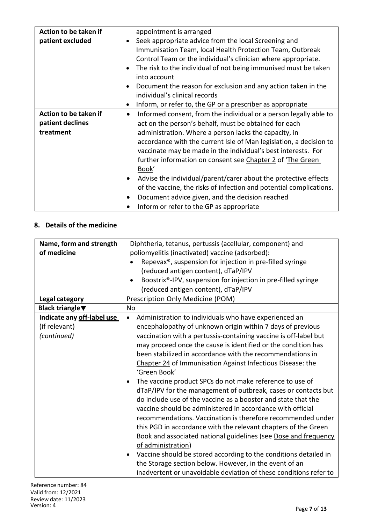| Action to be taken if |           | appointment is arranged                                             |
|-----------------------|-----------|---------------------------------------------------------------------|
| patient excluded      |           | Seek appropriate advice from the local Screening and                |
|                       |           | Immunisation Team, local Health Protection Team, Outbreak           |
|                       |           | Control Team or the individual's clinician where appropriate.       |
|                       |           | The risk to the individual of not being immunised must be taken     |
|                       |           | into account                                                        |
|                       |           | Document the reason for exclusion and any action taken in the       |
|                       |           | individual's clinical records                                       |
|                       | ٠         | Inform, or refer to, the GP or a prescriber as appropriate          |
| Action to be taken if | $\bullet$ | Informed consent, from the individual or a person legally able to   |
| patient declines      |           | act on the person's behalf, must be obtained for each               |
| treatment             |           | administration. Where a person lacks the capacity, in               |
|                       |           | accordance with the current Isle of Man legislation, a decision to  |
|                       |           | vaccinate may be made in the individual's best interests. For       |
|                       |           | further information on consent see Chapter 2 of 'The Green          |
|                       |           | Book'                                                               |
|                       | ٠         | Advise the individual/parent/carer about the protective effects     |
|                       |           | of the vaccine, the risks of infection and potential complications. |
|                       |           | Document advice given, and the decision reached                     |
|                       |           | Inform or refer to the GP as appropriate                            |

### **8. Details of the medicine**

| Name, form and strength    | Diphtheria, tetanus, pertussis (acellular, component) and                     |  |  |
|----------------------------|-------------------------------------------------------------------------------|--|--|
| of medicine                | poliomyelitis (inactivated) vaccine (adsorbed):                               |  |  |
|                            | Repevax <sup>®</sup> , suspension for injection in pre-filled syringe         |  |  |
|                            | (reduced antigen content), dTaP/IPV                                           |  |  |
|                            | Boostrix®-IPV, suspension for injection in pre-filled syringe                 |  |  |
|                            | (reduced antigen content), dTaP/IPV                                           |  |  |
| Legal category             | Prescription Only Medicine (POM)                                              |  |  |
| <b>Black triangle</b> ▼    | No                                                                            |  |  |
| Indicate any off-label use | Administration to individuals who have experienced an<br>$\bullet$            |  |  |
| (if relevant)              | encephalopathy of unknown origin within 7 days of previous                    |  |  |
| (continued)                | vaccination with a pertussis-containing vaccine is off-label but              |  |  |
|                            | may proceed once the cause is identified or the condition has                 |  |  |
|                            | been stabilized in accordance with the recommendations in                     |  |  |
|                            | Chapter 24 of Immunisation Against Infectious Disease: the                    |  |  |
|                            | 'Green Book'                                                                  |  |  |
|                            | The vaccine product SPCs do not make reference to use of                      |  |  |
|                            | dTaP/IPV for the management of outbreak, cases or contacts but                |  |  |
|                            | do include use of the vaccine as a booster and state that the                 |  |  |
|                            | vaccine should be administered in accordance with official                    |  |  |
|                            | recommendations. Vaccination is therefore recommended under                   |  |  |
|                            | this PGD in accordance with the relevant chapters of the Green                |  |  |
|                            | Book and associated national guidelines (see Dose and frequency               |  |  |
|                            | of administration)                                                            |  |  |
|                            | Vaccine should be stored according to the conditions detailed in<br>$\bullet$ |  |  |
|                            | the Storage section below. However, in the event of an                        |  |  |
|                            | inadvertent or unavoidable deviation of these conditions refer to             |  |  |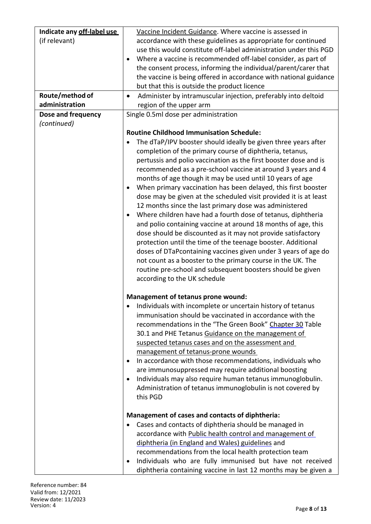| Indicate any off-label use | Vaccine Incident Guidance. Where vaccine is assessed in                     |
|----------------------------|-----------------------------------------------------------------------------|
| (if relevant)              | accordance with these guidelines as appropriate for continued               |
|                            | use this would constitute off-label administration under this PGD           |
|                            | Where a vaccine is recommended off-label consider, as part of               |
|                            | the consent process, informing the individual/parent/carer that             |
|                            | the vaccine is being offered in accordance with national guidance           |
|                            | but that this is outside the product licence                                |
| Route/method of            | Administer by intramuscular injection, preferably into deltoid<br>$\bullet$ |
| administration             | region of the upper arm                                                     |
| Dose and frequency         | Single 0.5ml dose per administration                                        |
| (continued)                |                                                                             |
|                            | <b>Routine Childhood Immunisation Schedule:</b>                             |
|                            |                                                                             |
|                            | The dTaP/IPV booster should ideally be given three years after              |
|                            | completion of the primary course of diphtheria, tetanus,                    |
|                            | pertussis and polio vaccination as the first booster dose and is            |
|                            | recommended as a pre-school vaccine at around 3 years and 4                 |
|                            | months of age though it may be used until 10 years of age                   |
|                            | When primary vaccination has been delayed, this first booster               |
|                            | dose may be given at the scheduled visit provided it is at least            |
|                            | 12 months since the last primary dose was administered                      |
|                            | Where children have had a fourth dose of tetanus, diphtheria                |
|                            | and polio containing vaccine at around 18 months of age, this               |
|                            | dose should be discounted as it may not provide satisfactory                |
|                            | protection until the time of the teenage booster. Additional                |
|                            | doses of DTaPcontaining vaccines given under 3 years of age do              |
|                            | not count as a booster to the primary course in the UK. The                 |
|                            | routine pre-school and subsequent boosters should be given                  |
|                            | according to the UK schedule                                                |
|                            | Management of tetanus prone wound:                                          |
|                            | Individuals with incomplete or uncertain history of tetanus                 |
|                            | immunisation should be vaccinated in accordance with the                    |
|                            | recommendations in the "The Green Book" Chapter 30 Table                    |
|                            | 30.1 and PHE Tetanus Guidance on the management of                          |
|                            | suspected tetanus cases and on the assessment and                           |
|                            | management of tetanus-prone wounds                                          |
|                            | In accordance with those recommendations, individuals who                   |
|                            | are immunosuppressed may require additional boosting                        |
|                            | Individuals may also require human tetanus immunoglobulin.                  |
|                            | Administration of tetanus immunoglobulin is not covered by                  |
|                            | this PGD                                                                    |
|                            |                                                                             |
|                            | Management of cases and contacts of diphtheria:                             |
|                            | Cases and contacts of diphtheria should be managed in                       |
|                            | accordance with Public health control and management of                     |
|                            | diphtheria (in England and Wales) guidelines and                            |
|                            | recommendations from the local health protection team                       |
|                            | Individuals who are fully immunised but have not received                   |
|                            | diphtheria containing vaccine in last 12 months may be given a              |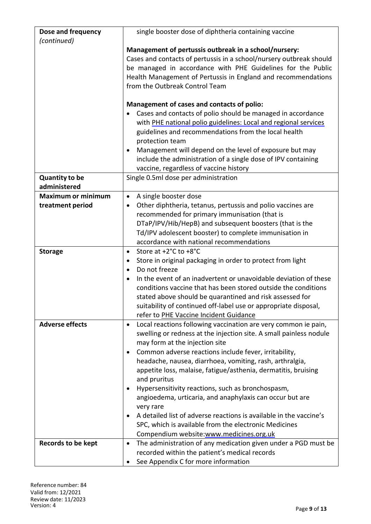| Dose and frequency        | single booster dose of diphtheria containing vaccine                                                                                            |
|---------------------------|-------------------------------------------------------------------------------------------------------------------------------------------------|
| (continued)               |                                                                                                                                                 |
|                           | Management of pertussis outbreak in a school/nursery:                                                                                           |
|                           | Cases and contacts of pertussis in a school/nursery outbreak should                                                                             |
|                           | be managed in accordance with PHE Guidelines for the Public                                                                                     |
|                           | Health Management of Pertussis in England and recommendations                                                                                   |
|                           | from the Outbreak Control Team                                                                                                                  |
|                           |                                                                                                                                                 |
|                           | Management of cases and contacts of polio:                                                                                                      |
|                           | Cases and contacts of polio should be managed in accordance                                                                                     |
|                           | with PHE national polio guidelines: Local and regional services                                                                                 |
|                           | guidelines and recommendations from the local health                                                                                            |
|                           | protection team                                                                                                                                 |
|                           | Management will depend on the level of exposure but may                                                                                         |
|                           | include the administration of a single dose of IPV containing                                                                                   |
|                           | vaccine, regardless of vaccine history                                                                                                          |
| <b>Quantity to be</b>     | Single 0.5ml dose per administration                                                                                                            |
| administered              |                                                                                                                                                 |
| <b>Maximum or minimum</b> | A single booster dose<br>$\bullet$                                                                                                              |
| treatment period          | Other diphtheria, tetanus, pertussis and polio vaccines are                                                                                     |
|                           | recommended for primary immunisation (that is                                                                                                   |
|                           | DTaP/IPV/Hib/HepB) and subsequent boosters (that is the                                                                                         |
|                           | Td/IPV adolescent booster) to complete immunisation in                                                                                          |
|                           | accordance with national recommendations                                                                                                        |
| <b>Storage</b>            | Store at +2°C to +8°C<br>$\bullet$                                                                                                              |
|                           | Store in original packaging in order to protect from light                                                                                      |
|                           | Do not freeze                                                                                                                                   |
|                           | In the event of an inadvertent or unavoidable deviation of these<br>$\bullet$<br>conditions vaccine that has been stored outside the conditions |
|                           |                                                                                                                                                 |
|                           | stated above should be quarantined and risk assessed for<br>suitability of continued off-label use or appropriate disposal,                     |
|                           | refer to PHE Vaccine Incident Guidance                                                                                                          |
| <b>Adverse effects</b>    | Local reactions following vaccination are very common ie pain,<br>$\bullet$                                                                     |
|                           | swelling or redness at the injection site. A small painless nodule                                                                              |
|                           | may form at the injection site                                                                                                                  |
|                           | Common adverse reactions include fever, irritability,                                                                                           |
|                           | headache, nausea, diarrhoea, vomiting, rash, arthralgia,                                                                                        |
|                           | appetite loss, malaise, fatigue/asthenia, dermatitis, bruising                                                                                  |
|                           | and pruritus                                                                                                                                    |
|                           | Hypersensitivity reactions, such as bronchospasm,                                                                                               |
|                           | angioedema, urticaria, and anaphylaxis can occur but are                                                                                        |
|                           | very rare                                                                                                                                       |
|                           | A detailed list of adverse reactions is available in the vaccine's                                                                              |
|                           | SPC, which is available from the electronic Medicines                                                                                           |
|                           | Compendium website:www.medicines.org.uk                                                                                                         |
| <b>Records to be kept</b> | The administration of any medication given under a PGD must be<br>$\bullet$                                                                     |
|                           | recorded within the patient's medical records                                                                                                   |
|                           | See Appendix C for more information                                                                                                             |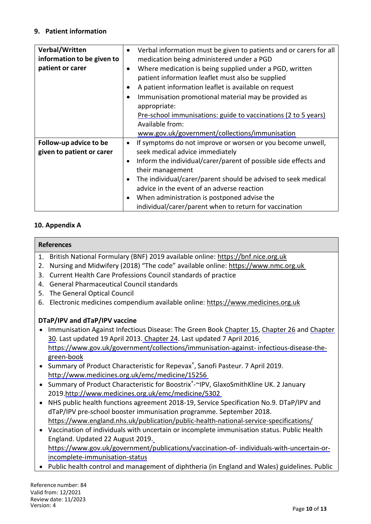#### **9. Patient information**

| Verbal/Written             |           | Verbal information must be given to patients and or carers for all |
|----------------------------|-----------|--------------------------------------------------------------------|
| information to be given to |           | medication being administered under a PGD                          |
| patient or carer           | $\bullet$ | Where medication is being supplied under a PGD, written            |
|                            |           | patient information leaflet must also be supplied                  |
|                            |           | A patient information leaflet is available on request              |
|                            |           | Immunisation promotional material may be provided as               |
|                            |           | appropriate:                                                       |
|                            |           | Pre-school immunisations: guide to vaccinations (2 to 5 years)     |
|                            |           | Available from:                                                    |
|                            |           | www.gov.uk/government/collections/immunisation                     |
| Follow-up advice to be     | $\bullet$ | If symptoms do not improve or worsen or you become unwell,         |
| given to patient or carer  |           | seek medical advice immediately                                    |
|                            | $\bullet$ | Inform the individual/carer/parent of possible side effects and    |
|                            |           | their management                                                   |
|                            |           | The individual/carer/parent should be advised to seek medical      |
|                            |           | advice in the event of an adverse reaction                         |
|                            |           | When administration is postponed advise the                        |
|                            |           | individual/carer/parent when to return for vaccination             |

#### **10. Appendix A**

#### **References**

- 1. British National Formulary (BNF) 2019 available online: https://bnf.nice.org.uk
- 2. Nursing and Midwifery (2018) "The code" available online: https://www.nmc.org.uk
- 3. Current Health Care Professions Council standards of practice
- 4. General Pharmaceutical Council standards
- 5. The General Optical Council
- 6. Electronic medicines compendium available online: https://www.medicines.org.uk

#### **DTaP/IPV and dTaP/IPV vaccine**

- Immunisation Against Infectious Disease: The Green Book Chapter [15,](https://www.gov.uk/government/publications/diphtheria-the-green-book-chapter-15) Chapter 26 and Chapter 30. Last updated 19 April 2013. Chapter 24. Last updated 7 April 2016 https://www.gov.uk/government/collections/immunisation-against- infectious-disease-thegreen-book
- Summary of Product Characteristic for Repevax®, Sanofi Pasteur. 7 April 2019. <http://www.medicines.org.uk/emc/medicine/15256>
- Summary of Product Characteristic for Boostrix®-~IPV, GlaxoSmithKline UK. 2 January 2019.http://www.medicines.org.uk/emc/medicine/5302
- NHS public health functions agreement 2018-19, Service Specification No.9. DTaP/IPV and dTaP/IPV pre-school booster immunisation programme. September 2018. https://www.england.nhs.uk/publication/public-health-national-service-specifications/
- Vaccination of individuals with uncertain or incomplete immunisation status. Public Health England. Updated 22 August 2019. https://www.gov.uk/government/publications/vaccination-of- individuals-with-uncertain-orincomplete-immunisation-status
- Public health control and management of diphtheria (in England and Wales) guidelines. Public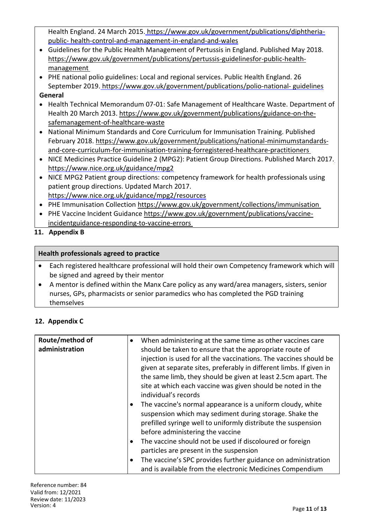Health England. 24 March 2015. [https://www.gov.uk/government/publications/diphtheria](https://www.gov.uk/government/publications/diphtheria-public-health-control-and-management-in-england-and-wales)[public-](https://www.gov.uk/government/publications/diphtheria-public-health-control-and-management-in-england-and-wales) health-control-and-management-in-england-and-wales

- Guidelines for the Public Health Management of Pertussis in England. Published May 2018. [https://www.gov.uk/government/publications/pertussis-guidelinesfor-public-health](https://www.gov.uk/government/publications/pertussis-guidelinesfor-public-health-management)[management](https://www.gov.uk/government/publications/pertussis-guidelinesfor-public-health-management)
- PHE national polio guidelines: Local and regional services. Public Health England. 26 September 2019. https://www.gov.uk/government/publications/polio-national- [guidelines](https://www.gov.uk/government/publications/polio-national-guidelines)

### **General**

- Health Technical Memorandum 07-01: Safe Management of Healthcare Waste. Department of Health 20 March 2013. https://www.gov.uk/government/publications/guidance-on-thesafemanagement-of-healthcare-waste
- National Minimum Standards and Core Curriculum for Immunisation Training. Published February 2018. [https://www.gov.uk/government/publications/national-minimumstandards](https://www.gov.uk/government/publications/national-minimumstandards-and-core-curriculum-for-immunisation-training-forregistered-healthcare-practitioners)[and-core-curriculum-for-immunisation-training-forregistered-healthcare-practitioners](https://www.gov.uk/government/publications/national-minimumstandards-and-core-curriculum-for-immunisation-training-forregistered-healthcare-practitioners)
- NICE Medicines Practice Guideline 2 (MPG2): Patient Group Directions. Published March 2017. https://www.nice.org.uk/guidance/mpg2
- NICE MPG2 Patient group directions: competency framework for health professionals using patient group directions. Updated March 2017. https://www.nice.org.uk/guidance/mpg2/resources
- PHE Immunisation Collection<https://www.gov.uk/government/collections/immunisation>
- PHE Vaccine Incident Guidance [https://www.gov.uk/government/publications/vaccine](https://www.gov.uk/government/publications/vaccine-incidentguidance-responding-to-vaccine-errors)[incidentguidance-responding-to-vaccine-errors](https://www.gov.uk/government/publications/vaccine-incidentguidance-responding-to-vaccine-errors)
- **11. Appendix B**

### **Health professionals agreed to practice**

- Each registered healthcare professional will hold their own Competency framework which will be signed and agreed by their mentor
- A mentor is defined within the Manx Care policy as any ward/area managers, sisters, senior nurses, GPs, pharmacists or senior paramedics who has completed the PGD training themselves

## **12. Appendix C**

| Route/method of<br>administration | When administering at the same time as other vaccines care<br>$\bullet$<br>should be taken to ensure that the appropriate route of<br>injection is used for all the vaccinations. The vaccines should be<br>given at separate sites, preferably in different limbs. If given in<br>the same limb, they should be given at least 2.5cm apart. The<br>site at which each vaccine was given should be noted in the<br>individual's records<br>The vaccine's normal appearance is a uniform cloudy, white<br>$\bullet$<br>suspension which may sediment during storage. Shake the<br>prefilled syringe well to uniformly distribute the suspension<br>before administering the vaccine<br>The vaccine should not be used if discoloured or foreign<br>$\bullet$<br>particles are present in the suspension<br>The vaccine's SPC provides further guidance on administration<br>$\bullet$<br>and is available from the electronic Medicines Compendium |
|-----------------------------------|---------------------------------------------------------------------------------------------------------------------------------------------------------------------------------------------------------------------------------------------------------------------------------------------------------------------------------------------------------------------------------------------------------------------------------------------------------------------------------------------------------------------------------------------------------------------------------------------------------------------------------------------------------------------------------------------------------------------------------------------------------------------------------------------------------------------------------------------------------------------------------------------------------------------------------------------------|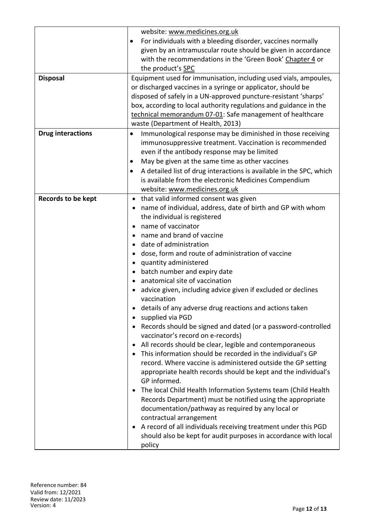|                           | website: www.medicines.org.uk                                             |  |  |
|---------------------------|---------------------------------------------------------------------------|--|--|
|                           | For individuals with a bleeding disorder, vaccines normally               |  |  |
|                           |                                                                           |  |  |
|                           | given by an intramuscular route should be given in accordance             |  |  |
|                           | with the recommendations in the 'Green Book' Chapter 4 or                 |  |  |
|                           | the product's SPC                                                         |  |  |
| <b>Disposal</b>           | Equipment used for immunisation, including used vials, ampoules,          |  |  |
|                           | or discharged vaccines in a syringe or applicator, should be              |  |  |
|                           | disposed of safely in a UN-approved puncture-resistant 'sharps'           |  |  |
|                           | box, according to local authority regulations and guidance in the         |  |  |
|                           | technical memorandum 07-01: Safe management of healthcare                 |  |  |
|                           | waste (Department of Health, 2013)                                        |  |  |
| <b>Drug interactions</b>  | Immunological response may be diminished in those receiving               |  |  |
|                           | immunosuppressive treatment. Vaccination is recommended                   |  |  |
|                           | even if the antibody response may be limited                              |  |  |
|                           | May be given at the same time as other vaccines<br>$\bullet$              |  |  |
|                           | A detailed list of drug interactions is available in the SPC, which       |  |  |
|                           | is available from the electronic Medicines Compendium                     |  |  |
|                           | website: www.medicines.org.uk                                             |  |  |
| <b>Records to be kept</b> | that valid informed consent was given                                     |  |  |
|                           | name of individual, address, date of birth and GP with whom               |  |  |
|                           |                                                                           |  |  |
|                           | the individual is registered<br>name of vaccinator                        |  |  |
|                           |                                                                           |  |  |
|                           | name and brand of vaccine                                                 |  |  |
|                           | date of administration                                                    |  |  |
|                           | dose, form and route of administration of vaccine                         |  |  |
|                           | quantity administered<br>$\bullet$                                        |  |  |
|                           | batch number and expiry date                                              |  |  |
|                           | anatomical site of vaccination                                            |  |  |
|                           | advice given, including advice given if excluded or declines              |  |  |
|                           | vaccination                                                               |  |  |
|                           | details of any adverse drug reactions and actions taken                   |  |  |
|                           | supplied via PGD                                                          |  |  |
|                           | Records should be signed and dated (or a password-controlled<br>$\bullet$ |  |  |
|                           | vaccinator's record on e-records)                                         |  |  |
|                           | All records should be clear, legible and contemporaneous<br>$\bullet$     |  |  |
|                           | This information should be recorded in the individual's GP                |  |  |
|                           | record. Where vaccine is administered outside the GP setting              |  |  |
|                           | appropriate health records should be kept and the individual's            |  |  |
|                           | GP informed.                                                              |  |  |
|                           | The local Child Health Information Systems team (Child Health             |  |  |
|                           | Records Department) must be notified using the appropriate                |  |  |
|                           | documentation/pathway as required by any local or                         |  |  |
|                           | contractual arrangement                                                   |  |  |
|                           | A record of all individuals receiving treatment under this PGD            |  |  |
|                           |                                                                           |  |  |
|                           | should also be kept for audit purposes in accordance with local           |  |  |
|                           | policy                                                                    |  |  |